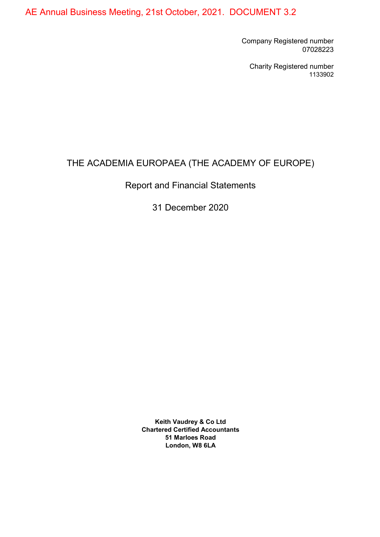AE Annual Business Meeting, 21st October, 2021. DOCUMENT 3.2

Company Registered number 07028223

Charity Registered number 1133902

# THE ACADEMIA EUROPAEA (THE ACADEMY OF EUROPE)

Report and Financial Statements

31 December 2020

Keith Vaudrey & Co Ltd Chartered Certified Accountants 51 Marloes Road London, W8 6LA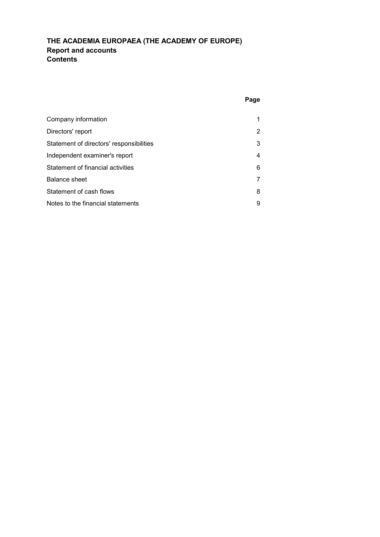## THE ACADEMIA EUROPAEA (THE ACADEMY OF EUROPE) Report and accounts Contents

| Company information                      |   |
|------------------------------------------|---|
| Directors' report                        | 2 |
| Statement of directors' responsibilities | 3 |
| Independent examiner's report            | 4 |
| Statement of financial activities        | 6 |
| <b>Balance sheet</b>                     |   |
| Statement of cash flows                  | 8 |
| Notes to the financial statements        | 9 |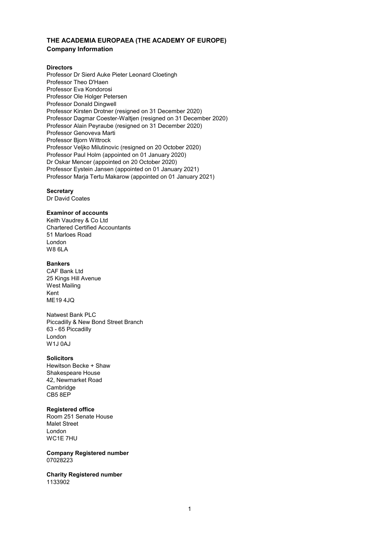## THE ACADEMIA EUROPAEA (THE ACADEMY OF EUROPE) Company Information

## **Directors**

Professor Dr Sierd Auke Pieter Leonard Cloetingh Professor Theo D'Haen Professor Eva Kondorosi Professor Ole Holger Petersen Professor Donald Dingwell Professor Kirsten Drotner (resigned on 31 December 2020) Professor Dagmar Coester-Waltjen (resigned on 31 December 2020) Professor Alain Peyraube (resigned on 31 December 2020) Professor Genoveva Marti Professor Bjorn Wittrock Professor Veljko Milutinovic (resigned on 20 October 2020) Professor Paul Holm (appointed on 01 January 2020) Dr Oskar Mencer (appointed on 20 October 2020) Professor Eystein Jansen (appointed on 01 January 2021) Professor Marja Tertu Makarow (appointed on 01 January 2021)

## **Secretary**

Dr David Coates

## Examinor of accounts

Keith Vaudrey & Co Ltd Chartered Certified Accountants 51 Marloes Road London W8 6LA

### Bankers

CAF Bank Ltd 25 Kings Hill Avenue West Mailing Kent ME19 4JQ

Natwest Bank PLC Piccadilly & New Bond Street Branch 63 - 65 Piccadilly London W1J 0AJ

### **Solicitors**

Hewitson Becke + Shaw Shakespeare House 42, Newmarket Road Cambridge CB5 8EP

## Registered office

Room 251 Senate House Malet Street London WC1E 7HU

Company Registered number 07028223

Charity Registered number 1133902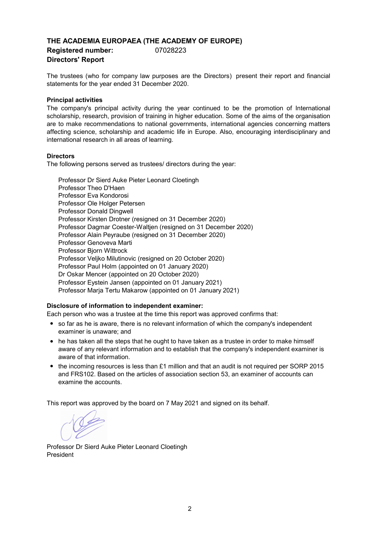## THE ACADEMIA EUROPAEA (THE ACADEMY OF EUROPE) Registered number: 07028223 Directors' Report

The trustees (who for company law purposes are the Directors) present their report and financial statements for the year ended 31 December 2020.

## Principal activities

The company's principal activity during the year continued to be the promotion of International scholarship, research, provision of training in higher education. Some of the aims of the organisation are to make recommendations to national governments, international agencies concerning matters affecting science, scholarship and academic life in Europe. Also, encouraging interdisciplinary and international research in all areas of learning.

## **Directors**

The following persons served as trustees/ directors during the year:

Professor Dr Sierd Auke Pieter Leonard Cloetingh Professor Theo D'Haen Professor Eystein Jansen (appointed on 01 January 2021) Professor Marja Tertu Makarow (appointed on 01 January 2021) Professor Eva Kondorosi Professor Ole Holger Petersen Professor Donald Dingwell Professor Kirsten Drotner (resigned on 31 December 2020) Professor Dagmar Coester-Waltjen (resigned on 31 December 2020) Professor Alain Peyraube (resigned on 31 December 2020) Professor Genoveva Marti Professor Bjorn Wittrock Professor Veljko Milutinovic (resigned on 20 October 2020) Professor Paul Holm (appointed on 01 January 2020) Dr Oskar Mencer (appointed on 20 October 2020)

## Disclosure of information to independent examiner:

Each person who was a trustee at the time this report was approved confirms that:

- so far as he is aware, there is no relevant information of which the company's independent examiner is unaware; and
- he has taken all the steps that he ought to have taken as a trustee in order to make himself aware of any relevant information and to establish that the company's independent examiner is aware of that information.
- the incoming resources is less than £1 million and that an audit is not required per SORP 2015 and FRS102. Based on the articles of association section 53, an examiner of accounts can examine the accounts.

This report was approved by the board on 7 May 2021 and signed on its behalf.

Professor Dr Sierd Auke Pieter Leonard Cloetingh President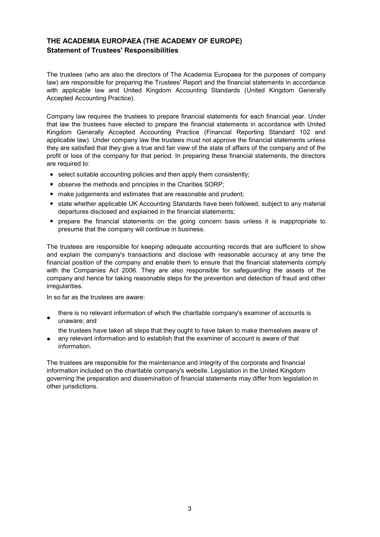## THE ACADEMIA EUROPAEA (THE ACADEMY OF EUROPE) Statement of Trustees' Responsibilities

The trustees (who are also the directors of The Academia Europaea for the purposes of company law) are responsible for preparing the Trustees' Report and the financial statements in accordance with applicable law and United Kingdom Accounting Standards (United Kingdom Generally Accepted Accounting Practice).

Company law requires the trustees to prepare financial statements for each financial year. Under that law the trustees have elected to prepare the financial statements in accordance with United Kingdom Generally Accepted Accounting Practice (Financial Reporting Standard 102 and applicable law). Under company law the trustees must not approve the financial statements unless they are satisfied that they give a true and fair view of the state of affairs of the company and of the profit or loss of the company for that period. In preparing these financial statements, the directors are required to:

- select suitable accounting policies and then apply them consistently;
- observe the methods and principles in the Charities SORP;
- make judgements and estimates that are reasonable and prudent;
- state whether applicable UK Accounting Standards have been followed, subject to any material departures disclosed and explained in the financial statements;
- prepare the financial statements on the going concern basis unless it is inappropriate to presume that the company will continue in business.

The trustees are responsible for keeping adequate accounting records that are sufficient to show and explain the company's transactions and disclose with reasonable accuracy at any time the financial position of the company and enable them to ensure that the financial statements comply with the Companies Act 2006. They are also responsible for safeguarding the assets of the company and hence for taking reasonable steps for the prevention and detection of fraud and other irregularities.

In so far as the trustees are aware:

● there is no relevant information of which the charitable company's examiner of accounts is unaware; and

the trustees have taken all steps that they ought to have taken to make themselves aware of

● any relevant information and to establish that the examiner of account is aware of that information.

The trustees are responsible for the maintenance and integrity of the corporate and financial information included on the charitable company's website. Legislation in the United Kingdom governing the preparation and dissemination of financial statements may differ from legislation in other jurisdictions.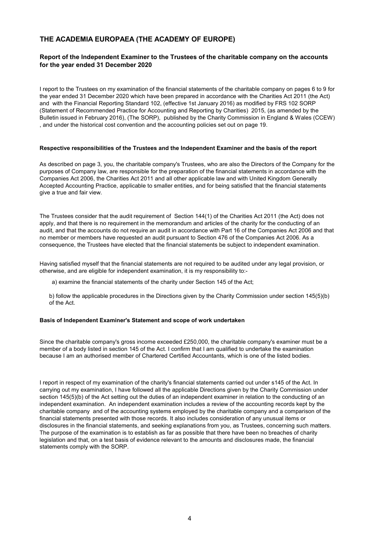## THE ACADEMIA EUROPAEA (THE ACADEMY OF EUROPE)

## Report of the Independent Examiner to the Trustees of the charitable company on the accounts for the year ended 31 December 2020

I report to the Trustees on my examination of the financial statements of the charitable company on pages 6 to 9 for the year ended 31 December 2020 which have been prepared in accordance with the Charities Act 2011 (the Act) and with the Financial Reporting Standard 102, (effective 1st January 2016) as modified by FRS 102 SORP (Statement of Recommended Practice for Accounting and Reporting by Charities) 2015, (as amended by the Bulletin issued in February 2016), (The SORP), published by the Charity Commission in England & Wales (CCEW) , and under the historical cost convention and the accounting policies set out on page 19.

### Respective responsibilities of the Trustees and the Independent Examiner and the basis of the report

As described on page 3, you, the charitable company's Trustees, who are also the Directors of the Company for the purposes of Company law, are responsible for the preparation of the financial statements in accordance with the Companies Act 2006, the Charities Act 2011 and all other applicable law and with United Kingdom Generally Accepted Accounting Practice, applicable to smaller entities, and for being satisfied that the financial statements give a true and fair view.

The Trustees consider that the audit requirement of Section 144(1) of the Charities Act 2011 (the Act) does not apply, and that there is no requirement in the memorandum and articles of the charity for the conducting of an audit, and that the accounts do not require an audit in accordance with Part 16 of the Companies Act 2006 and that no member or members have requested an audit pursuant to Section 476 of the Companies Act 2006. As a consequence, the Trustees have elected that the financial statements be subject to independent examination.

Having satisfied myself that the financial statements are not required to be audited under any legal provision, or otherwise, and are eligible for independent examination, it is my responsibility to:-

a) examine the financial statements of the charity under Section 145 of the Act;

b) follow the applicable procedures in the Directions given by the Charity Commission under section 145(5)(b) of the Act.

### Basis of Independent Examiner's Statement and scope of work undertaken

Since the charitable company's gross income exceeded £250,000, the charitable company's examiner must be a member of a body listed in section 145 of the Act. I confirm that I am qualified to undertake the examination because I am an authorised member of Chartered Certified Accountants, which is one of the listed bodies.

I report in respect of my examination of the charity's financial statements carried out under s145 of the Act. In carrying out my examination, I have followed all the applicable Directions given by the Charity Commission under section 145(5)(b) of the Act setting out the duties of an independent examiner in relation to the conducting of an independent examination. An independent examination includes a review of the accounting records kept by the charitable company and of the accounting systems employed by the charitable company and a comparison of the financial statements presented with those records. It also includes consideration of any unusual items or disclosures in the financial statements, and seeking explanations from you, as Trustees, concerning such matters. The purpose of the examination is to establish as far as possible that there have been no breaches of charity legislation and that, on a test basis of evidence relevant to the amounts and disclosures made, the financial statements comply with the SORP.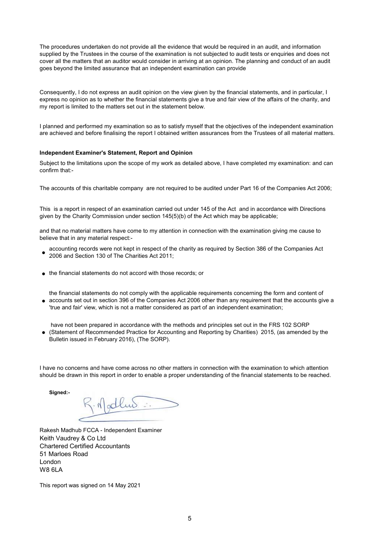The procedures undertaken do not provide all the evidence that would be required in an audit, and information supplied by the Trustees in the course of the examination is not subjected to audit tests or enquiries and does not cover all the matters that an auditor would consider in arriving at an opinion. The planning and conduct of an audit goes beyond the limited assurance that an independent examination can provide

Consequently, I do not express an audit opinion on the view given by the financial statements, and in particular, I express no opinion as to whether the financial statements give a true and fair view of the affairs of the charity, and my report is limited to the matters set out in the statement below.

I planned and performed my examination so as to satisfy myself that the objectives of the independent examination are achieved and before finalising the report I obtained written assurances from the Trustees of all material matters.

### Independent Examiner's Statement, Report and Opinion

Subject to the limitations upon the scope of my work as detailed above, I have completed my examination: and can confirm that:-

The accounts of this charitable company are not required to be audited under Part 16 of the Companies Act 2006;

This is a report in respect of an examination carried out under 145 of the Act and in accordance with Directions given by the Charity Commission under section 145(5)(b) of the Act which may be applicable;

and that no material matters have come to my attention in connection with the examination giving me cause to believe that in any material respect:-

- accounting records were not kept in respect of the charity as required by Section 386 of the Companies Act 2006 and Section 130 of The Charities Act 2011;
- the financial statements do not accord with those records; or

● accounts set out in section 396 of the Companies Act 2006 other than any requirement that the accounts give a the financial statements do not comply with the applicable requirements concerning the form and content of 'true and fair' view, which is not a matter considered as part of an independent examination;

have not been prepared in accordance with the methods and principles set out in the FRS 102 SORP

● (Statement of Recommended Practice for Accounting and Reporting by Charities) 2015, (as amended by the Bulletin issued in February 2016), (The SORP).

I have no concerns and have come across no other matters in connection with the examination to which attention should be drawn in this report in order to enable a proper understanding of the financial statements to be reached.

Sianed:-

R. Mallus

Keith Vaudrey & Co Ltd Chartered Certified Accountants 51 Marloes Road London W8 6LA Rakesh Madhub FCCA - Independent Examiner

This report was signed on 14 May 2021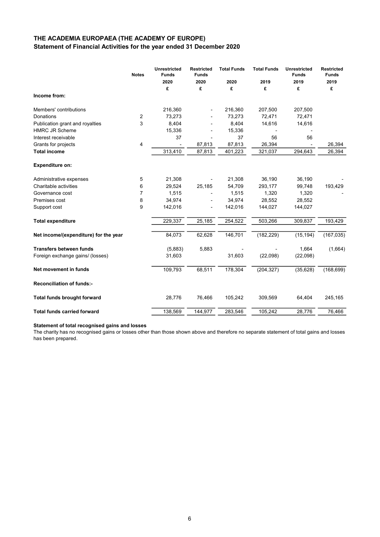## Statement of Financial Activities for the year ended 31 December 2020 THE ACADEMIA EUROPAEA (THE ACADEMY OF EUROPE)

|                                       | <b>Notes</b>   | <b>Unrestricted</b><br><b>Funds</b> | <b>Restricted</b><br><b>Funds</b> | <b>Total Funds</b> | <b>Total Funds</b> | <b>Unrestricted</b><br><b>Funds</b> | <b>Restricted</b><br><b>Funds</b> |
|---------------------------------------|----------------|-------------------------------------|-----------------------------------|--------------------|--------------------|-------------------------------------|-----------------------------------|
|                                       |                | 2020                                | 2020                              | 2020               | 2019               | 2019                                | 2019                              |
|                                       |                | £                                   | £                                 | £                  | £                  | £                                   | £                                 |
| Income from:                          |                |                                     |                                   |                    |                    |                                     |                                   |
| Members' contributions                |                | 216,360                             |                                   | 216,360            | 207,500            | 207,500                             |                                   |
| Donations                             | 2              | 73,273                              |                                   | 73,273             | 72,471             | 72,471                              |                                   |
| Publication grant and royalties       | 3              | 8,404                               |                                   | 8,404              | 14,616             | 14,616                              |                                   |
| <b>HMRC JR Scheme</b>                 |                | 15,336                              |                                   | 15,336             |                    |                                     |                                   |
| Interest receivable                   |                | 37                                  |                                   | 37                 | 56                 | 56                                  |                                   |
| Grants for projects                   | 4              |                                     | 87,813                            | 87,813             | 26,394             |                                     | 26,394                            |
| <b>Total income</b>                   |                | 313,410                             | 87,813                            | 401,223            | 321,037            | 294,643                             | 26,394                            |
| <b>Expenditure on:</b>                |                |                                     |                                   |                    |                    |                                     |                                   |
| Administrative expenses               | 5              | 21,308                              |                                   | 21,308             | 36,190             | 36,190                              |                                   |
| Charitable activities                 | 6              | 29,524                              | 25,185                            | 54,709             | 293,177            | 99,748                              | 193,429                           |
| Governance cost                       | $\overline{7}$ | 1,515                               |                                   | 1,515              | 1,320              | 1,320                               |                                   |
| Premises cost                         | 8              | 34,974                              |                                   | 34,974             | 28,552             | 28,552                              |                                   |
| Support cost                          | 9              | 142,016                             | $\overline{\phantom{a}}$          | 142,016            | 144,027            | 144,027                             |                                   |
| <b>Total expenditure</b>              |                | 229,337                             | 25,185                            | 254,522            | 503,266            | 309,837                             | 193,429                           |
| Net income/(expenditure) for the year |                | 84,073                              | 62,628                            | 146,701            | (182, 229)         | (15, 194)                           | (167, 035)                        |
| <b>Transfers between funds</b>        |                | (5,883)                             | 5,883                             |                    |                    | 1,664                               | (1,664)                           |
| Foreign exchange gains/ (losses)      |                | 31,603                              |                                   | 31,603             | (22,098)           | (22,098)                            |                                   |
| Net movement in funds                 |                | 109,793                             | 68,511                            | 178,304            | (204, 327)         | (35, 628)                           | (168, 699)                        |
| <b>Reconciliation of funds:-</b>      |                |                                     |                                   |                    |                    |                                     |                                   |
| <b>Total funds brought forward</b>    |                | 28,776                              | 76,466                            | 105,242            | 309,569            | 64,404                              | 245,165                           |
| <b>Total funds carried forward</b>    |                | 138,569                             | 144,977                           | 283,546            | 105,242            | 28,776                              | 76,466                            |

#### Statement of total recognised gains and losses

The charity has no recognised gains or losses other than those shown above and therefore no separate statement of total gains and losses has been prepared.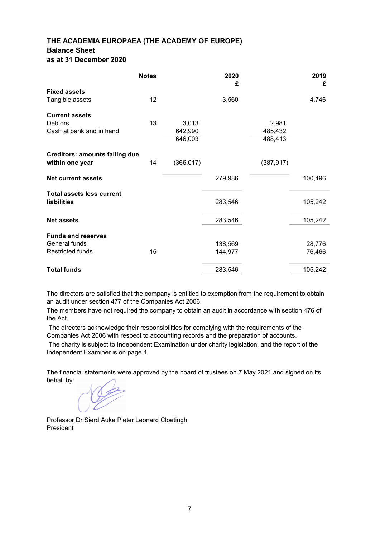## THE ACADEMIA EUROPAEA (THE ACADEMY OF EUROPE) Balance Sheet as at 31 December 2020

|                                       | <b>Notes</b> |            | 2020<br>£ |            | 2019<br>£ |
|---------------------------------------|--------------|------------|-----------|------------|-----------|
| <b>Fixed assets</b>                   |              |            |           |            |           |
| Tangible assets                       | 12           |            | 3,560     |            | 4,746     |
| <b>Current assets</b>                 |              |            |           |            |           |
| <b>Debtors</b>                        | 13           | 3,013      |           | 2,981      |           |
| Cash at bank and in hand              |              | 642,990    |           | 485,432    |           |
|                                       |              | 646,003    |           | 488,413    |           |
| <b>Creditors: amounts falling due</b> |              |            |           |            |           |
| within one year                       | 14           | (366, 017) |           | (387, 917) |           |
| <b>Net current assets</b>             |              |            | 279,986   |            | 100,496   |
| <b>Total assets less current</b>      |              |            |           |            |           |
| liabilities                           |              |            | 283,546   |            | 105,242   |
| <b>Net assets</b>                     |              |            | 283,546   |            | 105,242   |
|                                       |              |            |           |            |           |
| <b>Funds and reserves</b>             |              |            |           |            |           |
| General funds                         |              |            | 138,569   |            | 28,776    |
| <b>Restricted funds</b>               | 15           |            | 144,977   |            | 76,466    |
| <b>Total funds</b>                    |              |            | 283,546   |            | 105,242   |
|                                       |              |            |           |            |           |

The directors are satisfied that the company is entitled to exemption from the requirement to obtain an audit under section 477 of the Companies Act 2006.

The members have not required the company to obtain an audit in accordance with section 476 of the Act.

 The directors acknowledge their responsibilities for complying with the requirements of the Companies Act 2006 with respect to accounting records and the preparation of accounts.

 The charity is subject to Independent Examination under charity legislation, and the report of the Independent Examiner is on page 4.

The financial statements were approved by the board of trustees on 7 May 2021 and signed on its behalf by:

Professor Dr Sierd Auke Pieter Leonard Cloetingh President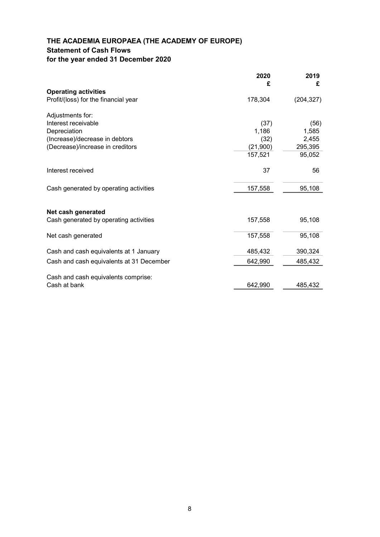## THE ACADEMIA EUROPAEA (THE ACADEMY OF EUROPE) Statement of Cash Flows for the year ended 31 December 2020

|                                          | 2020<br>£ | 2019<br>£  |
|------------------------------------------|-----------|------------|
| <b>Operating activities</b>              |           |            |
| Profit/(loss) for the financial year     | 178,304   | (204, 327) |
| Adjustments for:                         |           |            |
| Interest receivable                      | (37)      | (56)       |
| Depreciation                             | 1,186     | 1,585      |
| (Increase)/decrease in debtors           | (32)      | 2,455      |
| (Decrease)/increase in creditors         | (21,900)  | 295,395    |
|                                          | 157,521   | 95,052     |
| Interest received                        | 37        | 56         |
| Cash generated by operating activities   | 157,558   | 95,108     |
| Net cash generated                       |           |            |
| Cash generated by operating activities   | 157,558   | 95,108     |
| Net cash generated                       | 157,558   | 95,108     |
| Cash and cash equivalents at 1 January   | 485,432   | 390,324    |
| Cash and cash equivalents at 31 December | 642,990   | 485,432    |
| Cash and cash equivalents comprise:      |           |            |
| Cash at bank                             | 642,990   | 485,432    |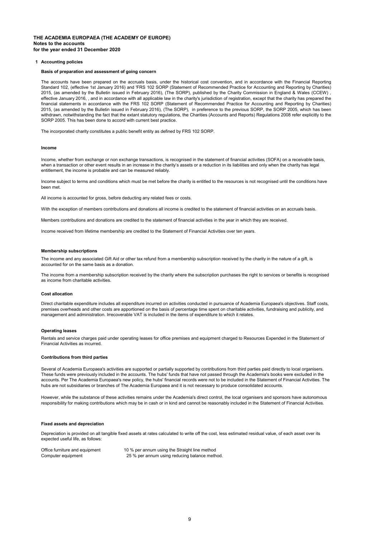#### THE ACADEMIA EUROPAEA (THE ACADEMY OF EUROPE) Notes to the accounts for the year ended 31 December 2020

#### 1 Accounting policies

#### Basis of preparation and assessment of going concern

The accounts have been prepared on the accruals basis, under the historical cost convention, and in accordance with the Financial Reporting Standard 102, (effective 1st January 2016) and 'FRS 102 SORP (Statement of Recommended Practice for Accounting and Reporting by Charities) 2015, (as amended by the Bulletin issued in February 2016), (The SORP), published by the Charity Commission in England & Wales (CCEW) , effective January 2016, , and in accordance with all applicable law in the charity's jurisdiction of registration, except that the charity has prepared the financial statements in accordance with the FRS 102 SORP (Statement of Recommended Practice for Accounting and Reporting by Charities) 2015, (as amended by the Bulletin issued in February 2016), (The SORP), in preference to the previous SORP, the SORP 2005, which has been withdrawn, notwithstanding the fact that the extant statutory regulations, the Charities (Accounts and Reports) Regulations 2008 refer explicitly to the SORP 2005. This has been done to accord with current best practice.

The incorporated charity constitutes a public benefit entity as defined by FRS 102 SORP.

#### Income

Income, whether from exchange or non exchange transactions, is recognised in the statement of financial activities (SOFA) on a receivable basis, when a transaction or other event results in an increase in the charity's assets or a reduction in its liabilities and only when the charity has legal entitlement, the income is probable and can be measured reliably.

Income subject to terms and conditions which must be met before the charity is entitled to the resources is not recognised until the conditions have been met.

All income is accounted for gross, before deducting any related fees or costs.

With the exception of members contributions and donations all income is credited to the statement of financial activities on an accruals basis.

Members contributions and donations are credited to the statement of financial activities in the year in which they are received.

Income received from lifetime membership are credited to the Statement of Financial Activities over ten years.

#### Membership subscriptions

The income and any associated Gift Aid or other tax refund from a membership subscription received by the charity in the nature of a gift, is accounted for on the same basis as a donation.

The income from a membership subscription received by the charity where the subscription purchases the right to services or benefits is recognised as income from charitable activities.

#### Cost allocation

Direct charitable expenditure includes all expenditure incurred on activities conducted in pursuance of Academia Europaea's objectives. Staff costs, premises overheads and other costs are apportioned on the basis of percentage time spent on charitable activities, fundraising and publicity, and management and administration. Irrecoverable VAT is included in the items of expenditure to which it relates.

#### Operating leases

Rentals and service charges paid under operating leases for office premises and equipment charged to Resources Expended in the Statement of Financial Activities as incurred.

#### Contributions from third parties

Several of Academia Europaea's activities are supported or partially supported by contributions from third parties paid directly to local organisers. These funds were previously included in the accounts. The hubs' funds that have not passed through the Academia's books were excluded in the accounts. Per The Academia Europaea's new policy, the hubs' financial records were not to be included in the Statement of Financial Activities. The hubs are not subsidiaries or branches of The Academia Europaea and it is not necessary to produce consolidated accounts.

However, while the substance of these activities remains under the Academia's direct control, the local organisers and sponsors have autonomous responsibility for making contributions which may be in cash or in kind and cannot be reasonably included in the Statement of Financial Activities.

#### Fixed assets and depreciation

Depreciation is provided on all tangible fixed assets at rates calculated to write off the cost, less estimated residual value, of each asset over its expected useful life, as follows:

Office furniture and equipment 10 % per annum using the Straight line method Computer equipment 25 % per annum using reducing balance method.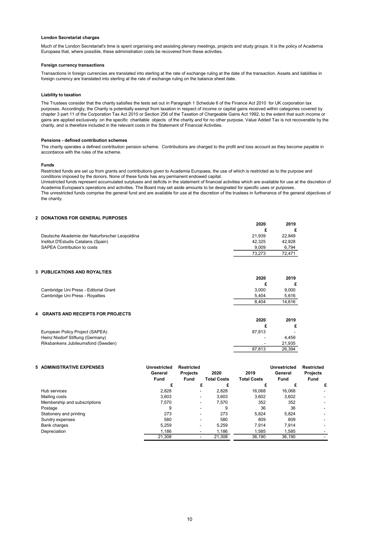#### London Secretariat charges

Much of the London Secretariat's time is spent organising and assisting plenary meetings, projects and study groups. It is the policy of Academia Europaea that, where possible, these administration costs be recovered from these activities.

#### Foreign currency transactions

Transactions in foreign currencies are translated into sterling at the rate of exchange ruling at the date of the transaction. Assets and liabilities in foreign currency are translated into sterling at the rate of exchange ruling on the balance sheet date.

#### Liability to taxation

The Trustees consider that the charity satisfies the tests set out in Paragraph 1 Schedule 6 of the Finance Act 2010 for UK corporation tax purposes. Accordingly, the Charity is potentially exempt from taxation in respect of income or capital gains received within categories covered by chapter 3 part 11 of the Corporation Tax Act 2010 or Section 256 of the Taxation of Chargeable Gains Act 1992, to the extent that such income or gains are applied exclusively on the specific charitable objects of the charity and for no other purpose. Value Added Tax is not recoverable by the charity, and is therefore included in the relevant costs in the Statement of Financial Activities.

#### Pensions - defined contribution schemes

The charity operates a defined contribution pension scheme. Contributions are charged to the profit and loss account as they become payable in accordance with the rules of the scheme.

#### Funds

Restricted funds are set up from grants and contributions given to Academia Europaea, the use of which is restricted as to the purpose and conditions imposed by the donors. None of these funds has any permanent endowed capital.

Unrestricted funds represent accumulated surpluses and deficits in the statement of financial activities which are available for use at the discretion of Academia Europaea's operations and activities. The Board may set aside amounts to be designated for specific uses or purposes. The unrestricted funds comprise the general fund and are available for use at the discretion of the trustees in furtherance of the general objectives of

the charity.

#### 2 DONATIONS FOR GENERAL PURPOSES

|                                                | 2020   | 2019   |
|------------------------------------------------|--------|--------|
|                                                |        |        |
| Deutsche Akademie der Naturforscher Leopoldina | 21.939 | 22.849 |
| Institut D'Estudis Catalans (Spain)            | 42.325 | 42.828 |
| SAPEA Contribution to costs                    | 9.009  | 6.794  |
|                                                | 73.273 | 72.471 |

### 3 PUBLICATIONS AND ROYALTIES

|                                       | 2020  | 2019   |
|---------------------------------------|-------|--------|
|                                       |       |        |
| Cambridge Uni Press - Editorial Grant | 3.000 | 9,000  |
| Cambridge Uni Press - Royalties       | 5.404 | 5.616  |
|                                       | 8.404 | 14.616 |
|                                       |       |        |

#### 4 GRANTS AND RECEIPTS FOR PROJECTS 2020 2019  $\begin{array}{ccc} & & \text{f} & \\ 87,813 & & \\ \end{array}$ European Policy Project (SAPEA) (88 - 87,813 - 87,813 - 87,813 - 87,813 - 87,813 - 87,813 - 87,813 - 87,813 - 87,813 - 87,813 - 88,813 - 88,813 - 88,813 - 88,813 - 88,813 - 88,813 - 88,813 - 88,813 - 88,813 - 88,814,99 - 8 Heinz Nixdorf Stiftung (Germany) Riksbankens Jubileumsfond (Sweden) and the control of the control of the control of the control of the control of the control of the control of the control of the control of the control of the control of the control of the 26,394

| 5 ADMINISTRATIVE EXPENSES    | Unrestricted<br>General<br><b>Fund</b> | <b>Restricted</b><br><b>Projects</b><br>Fund | 2020<br><b>Total Costs</b> | 2019<br><b>Total Costs</b> | <b>Unrestricted</b><br>General<br><b>Fund</b> | <b>Restricted</b><br><b>Projects</b><br><b>Fund</b> |
|------------------------------|----------------------------------------|----------------------------------------------|----------------------------|----------------------------|-----------------------------------------------|-----------------------------------------------------|
|                              |                                        |                                              |                            | £                          |                                               | £                                                   |
| Hub services                 | 2,828                                  | -                                            | 2.828                      | 16.068                     | 16,068                                        | ۰                                                   |
| Mailing costs                | 3.603                                  | -                                            | 3.603                      | 3,602                      | 3,602                                         |                                                     |
| Membership and subscriptions | 7.570                                  | -                                            | 7.570                      | 352                        | 352                                           |                                                     |
| Postage                      | 9                                      |                                              | 9                          | 36                         | 36                                            |                                                     |
| Stationery and printing      | 273                                    | -                                            | 273                        | 5.824                      | 5.824                                         |                                                     |
| Sundry expenses              | 580                                    |                                              | 580                        | 809                        | 809                                           | ۰                                                   |
| Bank charges                 | 5.259                                  | -                                            | 5.259                      | 7.914                      | 7.914                                         |                                                     |
| Depreciation                 | 1.186                                  |                                              | 1.186                      | 1,585                      | 1.585                                         |                                                     |
|                              | 21,308                                 |                                              | 21,308                     | 36,190                     | 36,190                                        |                                                     |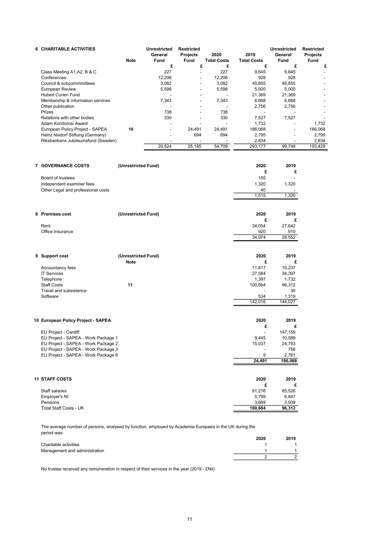| <b>6 CHARITABLE ACTIVITIES</b>      | <b>Note</b>         | <b>Unrestricted</b><br>General<br>Fund | <b>Restricted</b><br><b>Projects</b><br>Fund | 2020<br><b>Total Costs</b> | 2019<br><b>Total Costs</b> | <b>Unrestricted</b><br>General<br>Fund | <b>Restricted</b><br><b>Projects</b><br>Fund |
|-------------------------------------|---------------------|----------------------------------------|----------------------------------------------|----------------------------|----------------------------|----------------------------------------|----------------------------------------------|
|                                     |                     | £                                      | £                                            | £                          | £                          | £                                      | £                                            |
| Class Meeting A1, A2, B & C         |                     | 227                                    | $\overline{\phantom{a}}$                     | 227                        | 9,645                      | 9,645                                  | $\overline{a}$                               |
| Conferences                         |                     | 12,206                                 | ä,                                           | 12,206                     | 928                        | 928                                    |                                              |
| Council & subcommmittees            |                     | 3,082                                  |                                              | 3,082                      | 45,855                     | 45,855                                 |                                              |
|                                     |                     |                                        | ٠                                            |                            |                            |                                        |                                              |
| European Review                     |                     | 5,598                                  |                                              | 5,598                      | 5,000                      | 5,000                                  |                                              |
| Hubert Curien Fund                  |                     |                                        |                                              |                            | 21,369                     | 21,369                                 |                                              |
| Membership & information services   |                     | 7,343                                  | ٠                                            | 7,343                      | 6,668                      | 6,668                                  |                                              |
| Other publication                   |                     |                                        |                                              |                            | 2,756                      | 2,756                                  |                                              |
| Prizes                              |                     | 738                                    | $\overline{\phantom{a}}$                     | 738                        |                            |                                        |                                              |
| Relations with other bodies         |                     | 330                                    | $\overline{\phantom{a}}$                     | 330                        | 7,527                      | 7,527                                  |                                              |
| Adam Kondorosi Award                |                     |                                        |                                              |                            | 1,732                      |                                        | 1,732                                        |
| European Policy Project - SAPEA     | 10                  | $\overline{a}$                         | 24,491                                       | 24,491                     | 186,068                    | $\overline{a}$                         | 186,068                                      |
| Heinz Nixdorf Stiftung (Germany)    |                     |                                        | 694                                          | 694                        | 2,795                      |                                        | 2,795                                        |
| Riksbankens Jubileumsfond (Sweden)  |                     |                                        |                                              |                            | 2,834                      |                                        | 2,834                                        |
|                                     |                     | 29,524                                 | 25,185                                       | 54,709                     | 293,177                    | 99,748                                 | 193,429                                      |
| 7 GOVERNANCE COSTS                  | (Unrestricted Fund) |                                        |                                              |                            | 2020                       | 2019                                   |                                              |
|                                     |                     |                                        |                                              |                            | £                          | £                                      |                                              |
|                                     |                     |                                        |                                              |                            |                            |                                        |                                              |
| Board of trustees                   |                     |                                        |                                              |                            | 155                        |                                        |                                              |
| Independent examiner fees           |                     |                                        |                                              |                            | 1,320                      | 1,320                                  |                                              |
| Other Legal and professional costs  |                     |                                        |                                              |                            | 40                         |                                        |                                              |
|                                     |                     |                                        |                                              |                            | 1,515                      | 1,320                                  |                                              |
| 8 Premises cost                     |                     |                                        |                                              |                            | 2020                       |                                        |                                              |
|                                     | (Unrestricted Fund) |                                        |                                              |                            |                            | 2019                                   |                                              |
|                                     |                     |                                        |                                              |                            | £                          | £                                      |                                              |
| Rent                                |                     |                                        |                                              |                            | 34,054                     | 27,642                                 |                                              |
| Office Insurance                    |                     |                                        |                                              |                            | 920                        | 910                                    |                                              |
|                                     |                     |                                        |                                              |                            | 34,974                     | 28,552                                 |                                              |
| 9 Support cost                      | (Unrestricted Fund) |                                        |                                              |                            | 2020                       | 2019                                   |                                              |
|                                     | <b>Note</b>         |                                        |                                              |                            | £                          | £                                      |                                              |
| Accountancy fees                    |                     |                                        |                                              |                            | 11,817                     | 10,237                                 |                                              |
| <b>IT Services</b>                  |                     |                                        |                                              |                            | 27,584                     | 34,397                                 |                                              |
| Telephone                           |                     |                                        |                                              |                            | 1,397                      | 1,732                                  |                                              |
| <b>Staff Costs</b>                  | 11                  |                                        |                                              |                            | 100,684                    | 96,312                                 |                                              |
| Travel and subsistence              |                     |                                        |                                              |                            |                            | 30                                     |                                              |
| Software                            |                     |                                        |                                              |                            | 534                        | 1,319                                  |                                              |
|                                     |                     |                                        |                                              |                            | 142,016                    | 144,027                                |                                              |
|                                     |                     |                                        |                                              |                            |                            |                                        |                                              |
| 10 European Policy Project - SAPEA  |                     |                                        |                                              |                            | 2020                       | 2019                                   |                                              |
|                                     |                     |                                        |                                              |                            | £                          | £                                      |                                              |
| EU Project - Cardiff                |                     |                                        |                                              |                            |                            | 147,159                                |                                              |
| EU Project - SAPEA - Work Package 1 |                     |                                        |                                              |                            | 9,445                      | 10,589                                 |                                              |
| EU Project - SAPEA - Work Package 2 |                     |                                        |                                              |                            | 15,037                     | 24,783                                 |                                              |
| EU Project - SAPEA - Work Package 3 |                     |                                        |                                              |                            |                            | 756                                    |                                              |
| EU Project - SAPEA - Work Package 6 |                     |                                        |                                              |                            | 9                          | 2,781                                  |                                              |
|                                     |                     |                                        |                                              |                            | 24,491                     | 186,068                                |                                              |
|                                     |                     |                                        |                                              |                            |                            |                                        |                                              |
| <b>11 STAFF COSTS</b>               |                     |                                        |                                              |                            | 2020                       | 2019                                   |                                              |
|                                     |                     |                                        |                                              |                            | £                          | £                                      |                                              |
| Staff salaries                      |                     |                                        |                                              |                            | 91,216                     | 85,526                                 |                                              |
| Employer's NI                       |                     |                                        |                                              |                            | 5,799                      | 6,847                                  |                                              |
| Pensions                            |                     |                                        |                                              |                            | 3,669                      | 3,939                                  |                                              |
| Total Staff Costs - UK              |                     |                                        |                                              |                            | 100,684                    | 96,312                                 |                                              |
|                                     |                     |                                        |                                              |                            |                            |                                        |                                              |

The average number of persons, analysed by function, employed by Academia Europaea in the UK during the period was:

|                               | 2020 | 2019 |
|-------------------------------|------|------|
| Charitable activities         |      |      |
| Management and administration |      |      |
|                               |      |      |

No trustee received any remuneration in respect of their services in the year (2019 - £Nil)